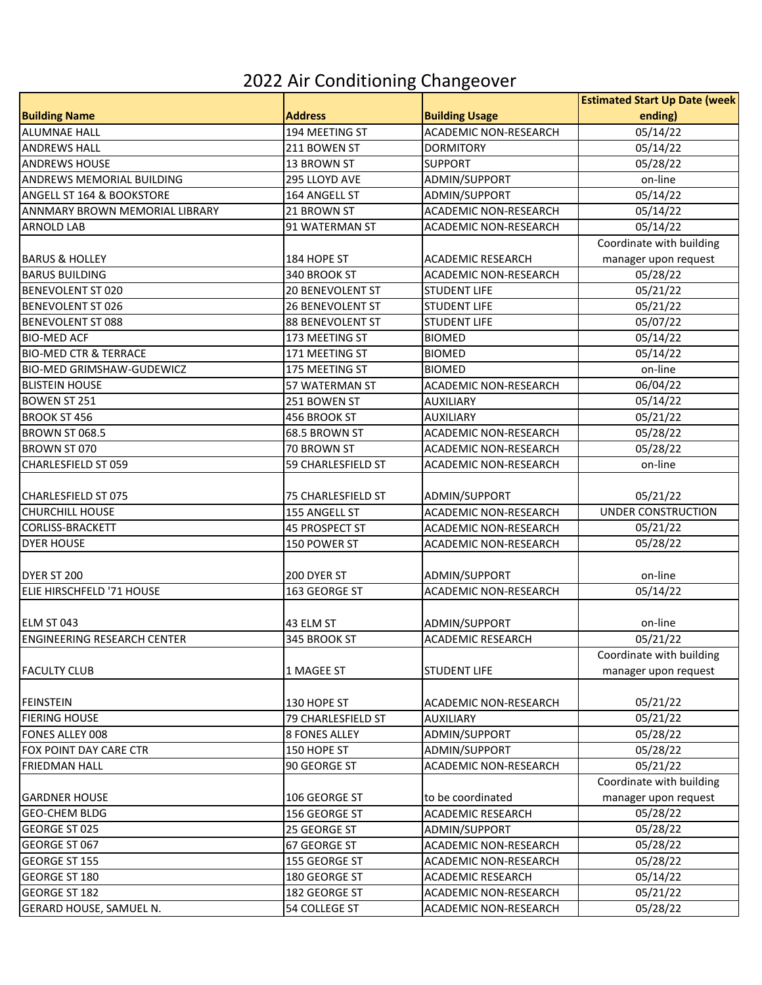## 2022 Air Conditioning Changeover

|                                      |                       |                              | <b>Estimated Start Up Date (week</b> |
|--------------------------------------|-----------------------|------------------------------|--------------------------------------|
| <b>Building Name</b>                 | <b>Address</b>        | <b>Building Usage</b>        | ending)                              |
| <b>ALUMNAE HALL</b>                  | 194 MEETING ST        | ACADEMIC NON-RESEARCH        | 05/14/22                             |
| <b>ANDREWS HALL</b>                  | 211 BOWEN ST          | <b>DORMITORY</b>             | 05/14/22                             |
| <b>ANDREWS HOUSE</b>                 | 13 BROWN ST           | <b>SUPPORT</b>               | 05/28/22                             |
| <b>ANDREWS MEMORIAL BUILDING</b>     | 295 LLOYD AVE         | ADMIN/SUPPORT                | on-line                              |
| <b>ANGELL ST 164 &amp; BOOKSTORE</b> | 164 ANGELL ST         | ADMIN/SUPPORT                | 05/14/22                             |
| ANNMARY BROWN MEMORIAL LIBRARY       | 21 BROWN ST           | <b>ACADEMIC NON-RESEARCH</b> | 05/14/22                             |
| <b>ARNOLD LAB</b>                    | 91 WATERMAN ST        | ACADEMIC NON-RESEARCH        | 05/14/22                             |
|                                      |                       |                              | Coordinate with building             |
| <b>BARUS &amp; HOLLEY</b>            | 184 HOPE ST           | <b>ACADEMIC RESEARCH</b>     | manager upon request                 |
| <b>BARUS BUILDING</b>                | 340 BROOK ST          | <b>ACADEMIC NON-RESEARCH</b> | 05/28/22                             |
| <b>BENEVOLENT ST 020</b>             | 20 BENEVOLENT ST      | <b>STUDENT LIFE</b>          | 05/21/22                             |
| <b>BENEVOLENT ST 026</b>             | 26 BENEVOLENT ST      | <b>STUDENT LIFE</b>          | 05/21/22                             |
| <b>BENEVOLENT ST 088</b>             | 88 BENEVOLENT ST      | <b>STUDENT LIFE</b>          | 05/07/22                             |
| <b>BIO-MED ACF</b>                   | 173 MEETING ST        | <b>BIOMED</b>                | 05/14/22                             |
| <b>BIO-MED CTR &amp; TERRACE</b>     | 171 MEETING ST        | <b>BIOMED</b>                | 05/14/22                             |
| <b>BIO-MED GRIMSHAW-GUDEWICZ</b>     | 175 MEETING ST        | <b>BIOMED</b>                | on-line                              |
| <b>BLISTEIN HOUSE</b>                | 57 WATERMAN ST        | ACADEMIC NON-RESEARCH        | 06/04/22                             |
| <b>BOWEN ST 251</b>                  | 251 BOWEN ST          | <b>AUXILIARY</b>             | 05/14/22                             |
| <b>BROOK ST 456</b>                  | 456 BROOK ST          | <b>AUXILIARY</b>             | 05/21/22                             |
| <b>BROWN ST 068.5</b>                | 68.5 BROWN ST         | <b>ACADEMIC NON-RESEARCH</b> | 05/28/22                             |
| BROWN ST 070                         | 70 BROWN ST           | <b>ACADEMIC NON-RESEARCH</b> | 05/28/22                             |
| <b>CHARLESFIELD ST 059</b>           | 59 CHARLESFIELD ST    | ACADEMIC NON-RESEARCH        | on-line                              |
|                                      |                       |                              |                                      |
| <b>CHARLESFIELD ST 075</b>           | 75 CHARLESFIELD ST    | ADMIN/SUPPORT                | 05/21/22                             |
| <b>CHURCHILL HOUSE</b>               | 155 ANGELL ST         | ACADEMIC NON-RESEARCH        | <b>UNDER CONSTRUCTION</b>            |
| <b>CORLISS-BRACKETT</b>              | <b>45 PROSPECT ST</b> | <b>ACADEMIC NON-RESEARCH</b> | 05/21/22                             |
| <b>DYER HOUSE</b>                    | 150 POWER ST          | ACADEMIC NON-RESEARCH        | 05/28/22                             |
|                                      |                       |                              |                                      |
| DYER ST 200                          | 200 DYER ST           | ADMIN/SUPPORT                | on-line                              |
| ELIE HIRSCHFELD '71 HOUSE            | 163 GEORGE ST         | <b>ACADEMIC NON-RESEARCH</b> | 05/14/22                             |
|                                      |                       |                              |                                      |
| ELM ST 043                           | 43 ELM ST             | ADMIN/SUPPORT                | on-line                              |
| <b>ENGINEERING RESEARCH CENTER</b>   | 345 BROOK ST          | <b>ACADEMIC RESEARCH</b>     | 05/21/22                             |
|                                      |                       |                              | Coordinate with building             |
| <b>FACULTY CLUB</b>                  | 1 MAGEE ST            | <b>STUDENT LIFE</b>          | manager upon request                 |
|                                      |                       |                              |                                      |
| <b>FEINSTEIN</b>                     | 130 HOPE ST           | ACADEMIC NON-RESEARCH        | 05/21/22                             |
| <b>FIERING HOUSE</b>                 | 79 CHARLESFIELD ST    | <b>AUXILIARY</b>             | 05/21/22                             |
| <b>FONES ALLEY 008</b>               | <b>8 FONES ALLEY</b>  | ADMIN/SUPPORT                | 05/28/22                             |
| FOX POINT DAY CARE CTR               | 150 HOPE ST           | ADMIN/SUPPORT                | 05/28/22                             |
| <b>FRIEDMAN HALL</b>                 | 90 GEORGE ST          | ACADEMIC NON-RESEARCH        | 05/21/22                             |
|                                      |                       |                              | Coordinate with building             |
| <b>IGARDNER HOUSE</b>                | 106 GEORGE ST         | to be coordinated            | manager upon request                 |
| <b>GEO-CHEM BLDG</b>                 | 156 GEORGE ST         | <b>ACADEMIC RESEARCH</b>     | 05/28/22                             |
| <b>GEORGE ST 025</b>                 | 25 GEORGE ST          | ADMIN/SUPPORT                | 05/28/22                             |
| <b>GEORGE ST 067</b>                 | 67 GEORGE ST          | ACADEMIC NON-RESEARCH        | 05/28/22                             |
| <b>GEORGE ST 155</b>                 | 155 GEORGE ST         | ACADEMIC NON-RESEARCH        | 05/28/22                             |
| <b>GEORGE ST 180</b>                 | 180 GEORGE ST         | ACADEMIC RESEARCH            | 05/14/22                             |
| <b>GEORGE ST 182</b>                 | 182 GEORGE ST         | ACADEMIC NON-RESEARCH        | 05/21/22                             |
| GERARD HOUSE, SAMUEL N.              | 54 COLLEGE ST         | ACADEMIC NON-RESEARCH        | 05/28/22                             |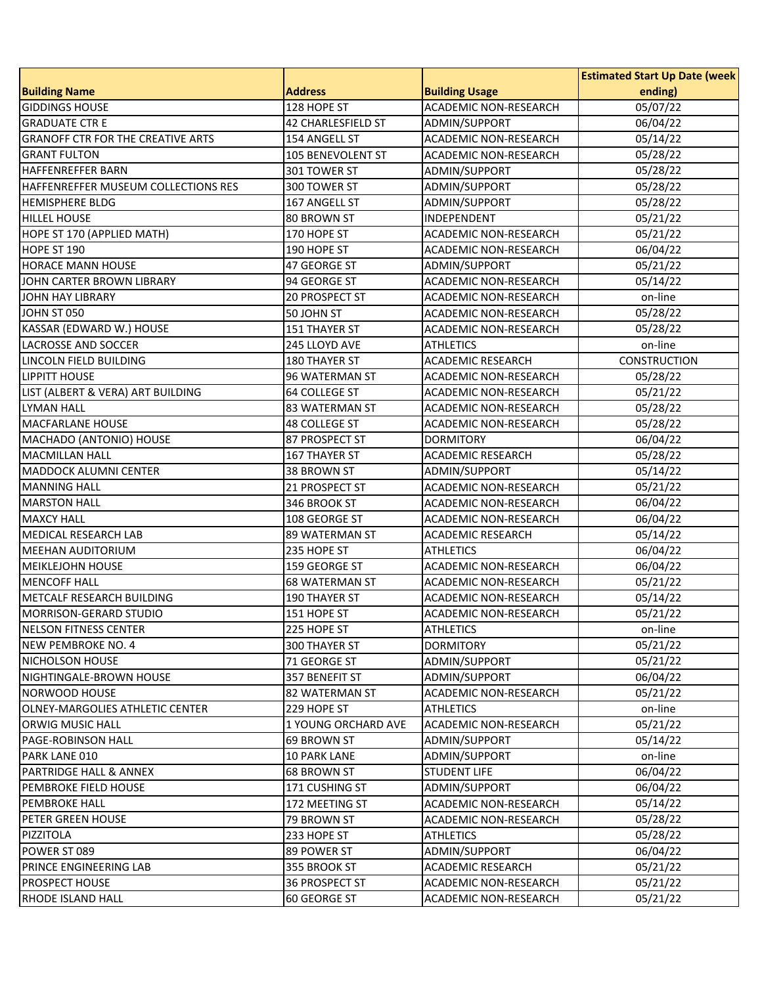| <b>Address</b><br><b>Building Usage</b><br>ending)<br>ACADEMIC NON-RESEARCH<br>05/07/22<br>128 HOPE ST<br>06/04/22<br>42 CHARLESFIELD ST<br>ADMIN/SUPPORT<br>154 ANGELL ST<br>ACADEMIC NON-RESEARCH<br>05/14/22<br>105 BENEVOLENT ST<br>05/28/22<br><b>ACADEMIC NON-RESEARCH</b><br>05/28/22<br>301 TOWER ST<br>ADMIN/SUPPORT<br>05/28/22<br>ADMIN/SUPPORT<br>300 TOWER ST<br>05/28/22<br>ADMIN/SUPPORT<br>167 ANGELL ST<br>05/21/22<br>80 BROWN ST<br>INDEPENDENT<br>05/21/22<br>170 HOPE ST<br>ACADEMIC NON-RESEARCH<br>190 HOPE ST<br><b>ACADEMIC NON-RESEARCH</b><br>06/04/22<br>47 GEORGE ST<br>ADMIN/SUPPORT<br>05/21/22<br><b>ACADEMIC NON-RESEARCH</b><br>05/14/22<br>94 GEORGE ST<br>20 PROSPECT ST<br><b>ACADEMIC NON-RESEARCH</b><br>on-line<br>05/28/22<br>50 JOHN ST<br><b>ACADEMIC NON-RESEARCH</b><br>05/28/22<br><b>151 THAYER ST</b><br><b>ACADEMIC NON-RESEARCH</b><br>245 LLOYD AVE<br><b>ATHLETICS</b><br>on-line<br><b>ACADEMIC RESEARCH</b><br><b>CONSTRUCTION</b><br><b>180 THAYER ST</b><br>96 WATERMAN ST<br>ACADEMIC NON-RESEARCH<br>05/28/22<br>LIST (ALBERT & VERA) ART BUILDING<br>05/21/22<br>64 COLLEGE ST<br>ACADEMIC NON-RESEARCH<br>05/28/22<br><b>83 WATERMAN ST</b><br><b>ACADEMIC NON-RESEARCH</b><br>05/28/22<br><b>48 COLLEGE ST</b><br><b>ACADEMIC NON-RESEARCH</b><br>MACHADO (ANTONIO) HOUSE<br>06/04/22<br>87 PROSPECT ST<br><b>DORMITORY</b><br>05/28/22<br><b>ACADEMIC RESEARCH</b><br><b>167 THAYER ST</b><br><b>MADDOCK ALUMNI CENTER</b><br>38 BROWN ST<br>ADMIN/SUPPORT<br>05/14/22<br>21 PROSPECT ST<br>ACADEMIC NON-RESEARCH<br>05/21/22<br>346 BROOK ST<br>ACADEMIC NON-RESEARCH<br>06/04/22<br><b>MAXCY HALL</b><br>108 GEORGE ST<br>ACADEMIC NON-RESEARCH<br>06/04/22<br>MEDICAL RESEARCH LAB<br>89 WATERMAN ST<br>05/14/22<br><b>ACADEMIC RESEARCH</b><br>06/04/22<br>235 HOPE ST<br><b>ATHLETICS</b><br>06/04/22<br><b>MEIKLEJOHN HOUSE</b><br>159 GEORGE ST<br>ACADEMIC NON-RESEARCH<br>05/21/22<br><b>68 WATERMAN ST</b><br><b>ACADEMIC NON-RESEARCH</b><br>METCALF RESEARCH BUILDING<br>05/14/22<br><b>190 THAYER ST</b><br>ACADEMIC NON-RESEARCH<br>05/21/22<br>151 HOPE ST<br>ACADEMIC NON-RESEARCH<br><b>NELSON FITNESS CENTER</b><br>225 HOPE ST<br><b>ATHLETICS</b><br>on-line<br>NEW PEMBROKE NO. 4<br>05/21/22<br>300 THAYER ST<br><b>DORMITORY</b><br>NICHOLSON HOUSE<br>05/21/22<br>ADMIN/SUPPORT<br>71 GEORGE ST<br>NIGHTINGALE-BROWN HOUSE<br>ADMIN/SUPPORT<br>06/04/22<br>357 BENEFIT ST<br>05/21/22<br>82 WATERMAN ST<br><b>ACADEMIC NON-RESEARCH</b><br>229 HOPE ST<br><b>ATHLETICS</b><br>on-line<br>05/21/22<br>1 YOUNG ORCHARD AVE<br>ACADEMIC NON-RESEARCH<br>69 BROWN ST<br>ADMIN/SUPPORT<br>05/14/22<br>PARK LANE 010<br><b>10 PARK LANE</b><br>ADMIN/SUPPORT<br>on-line<br>06/04/22<br>PARTRIDGE HALL & ANNEX<br>68 BROWN ST<br><b>STUDENT LIFE</b><br>PEMBROKE FIELD HOUSE<br>171 CUSHING ST<br>ADMIN/SUPPORT<br>06/04/22<br>05/14/22<br><b>PEMBROKE HALL</b><br>172 MEETING ST<br><b>ACADEMIC NON-RESEARCH</b><br>05/28/22<br>PETER GREEN HOUSE<br>79 BROWN ST<br><b>ACADEMIC NON-RESEARCH</b><br>05/28/22<br><b>PIZZITOLA</b><br>233 HOPE ST<br><b>ATHLETICS</b><br>06/04/22<br>89 POWER ST<br>ADMIN/SUPPORT<br>PRINCE ENGINEERING LAB<br>05/21/22<br>355 BROOK ST<br><b>ACADEMIC RESEARCH</b> |                                          |  | <b>Estimated Start Up Date (week</b> |
|-----------------------------------------------------------------------------------------------------------------------------------------------------------------------------------------------------------------------------------------------------------------------------------------------------------------------------------------------------------------------------------------------------------------------------------------------------------------------------------------------------------------------------------------------------------------------------------------------------------------------------------------------------------------------------------------------------------------------------------------------------------------------------------------------------------------------------------------------------------------------------------------------------------------------------------------------------------------------------------------------------------------------------------------------------------------------------------------------------------------------------------------------------------------------------------------------------------------------------------------------------------------------------------------------------------------------------------------------------------------------------------------------------------------------------------------------------------------------------------------------------------------------------------------------------------------------------------------------------------------------------------------------------------------------------------------------------------------------------------------------------------------------------------------------------------------------------------------------------------------------------------------------------------------------------------------------------------------------------------------------------------------------------------------------------------------------------------------------------------------------------------------------------------------------------------------------------------------------------------------------------------------------------------------------------------------------------------------------------------------------------------------------------------------------------------------------------------------------------------------------------------------------------------------------------------------------------------------------------------------------------------------------------------------------------------------------------------------------------------------------------------------------------------------------------------------------------------------------------------------------------------------------------------------------------------------------------------------------------------------------------------------------------------------------------------------------------------------------------------------------------------------------------------------------------------------------------------------------------------------------------------------------------------|------------------------------------------|--|--------------------------------------|
|                                                                                                                                                                                                                                                                                                                                                                                                                                                                                                                                                                                                                                                                                                                                                                                                                                                                                                                                                                                                                                                                                                                                                                                                                                                                                                                                                                                                                                                                                                                                                                                                                                                                                                                                                                                                                                                                                                                                                                                                                                                                                                                                                                                                                                                                                                                                                                                                                                                                                                                                                                                                                                                                                                                                                                                                                                                                                                                                                                                                                                                                                                                                                                                                                                                                                   | <b>Building Name</b>                     |  |                                      |
|                                                                                                                                                                                                                                                                                                                                                                                                                                                                                                                                                                                                                                                                                                                                                                                                                                                                                                                                                                                                                                                                                                                                                                                                                                                                                                                                                                                                                                                                                                                                                                                                                                                                                                                                                                                                                                                                                                                                                                                                                                                                                                                                                                                                                                                                                                                                                                                                                                                                                                                                                                                                                                                                                                                                                                                                                                                                                                                                                                                                                                                                                                                                                                                                                                                                                   | <b>GIDDINGS HOUSE</b>                    |  |                                      |
|                                                                                                                                                                                                                                                                                                                                                                                                                                                                                                                                                                                                                                                                                                                                                                                                                                                                                                                                                                                                                                                                                                                                                                                                                                                                                                                                                                                                                                                                                                                                                                                                                                                                                                                                                                                                                                                                                                                                                                                                                                                                                                                                                                                                                                                                                                                                                                                                                                                                                                                                                                                                                                                                                                                                                                                                                                                                                                                                                                                                                                                                                                                                                                                                                                                                                   | <b>GRADUATE CTR E</b>                    |  |                                      |
|                                                                                                                                                                                                                                                                                                                                                                                                                                                                                                                                                                                                                                                                                                                                                                                                                                                                                                                                                                                                                                                                                                                                                                                                                                                                                                                                                                                                                                                                                                                                                                                                                                                                                                                                                                                                                                                                                                                                                                                                                                                                                                                                                                                                                                                                                                                                                                                                                                                                                                                                                                                                                                                                                                                                                                                                                                                                                                                                                                                                                                                                                                                                                                                                                                                                                   | <b>GRANOFF CTR FOR THE CREATIVE ARTS</b> |  |                                      |
|                                                                                                                                                                                                                                                                                                                                                                                                                                                                                                                                                                                                                                                                                                                                                                                                                                                                                                                                                                                                                                                                                                                                                                                                                                                                                                                                                                                                                                                                                                                                                                                                                                                                                                                                                                                                                                                                                                                                                                                                                                                                                                                                                                                                                                                                                                                                                                                                                                                                                                                                                                                                                                                                                                                                                                                                                                                                                                                                                                                                                                                                                                                                                                                                                                                                                   | <b>GRANT FULTON</b>                      |  |                                      |
|                                                                                                                                                                                                                                                                                                                                                                                                                                                                                                                                                                                                                                                                                                                                                                                                                                                                                                                                                                                                                                                                                                                                                                                                                                                                                                                                                                                                                                                                                                                                                                                                                                                                                                                                                                                                                                                                                                                                                                                                                                                                                                                                                                                                                                                                                                                                                                                                                                                                                                                                                                                                                                                                                                                                                                                                                                                                                                                                                                                                                                                                                                                                                                                                                                                                                   | <b>HAFFENREFFER BARN</b>                 |  |                                      |
|                                                                                                                                                                                                                                                                                                                                                                                                                                                                                                                                                                                                                                                                                                                                                                                                                                                                                                                                                                                                                                                                                                                                                                                                                                                                                                                                                                                                                                                                                                                                                                                                                                                                                                                                                                                                                                                                                                                                                                                                                                                                                                                                                                                                                                                                                                                                                                                                                                                                                                                                                                                                                                                                                                                                                                                                                                                                                                                                                                                                                                                                                                                                                                                                                                                                                   | HAFFENREFFER MUSEUM COLLECTIONS RES      |  |                                      |
|                                                                                                                                                                                                                                                                                                                                                                                                                                                                                                                                                                                                                                                                                                                                                                                                                                                                                                                                                                                                                                                                                                                                                                                                                                                                                                                                                                                                                                                                                                                                                                                                                                                                                                                                                                                                                                                                                                                                                                                                                                                                                                                                                                                                                                                                                                                                                                                                                                                                                                                                                                                                                                                                                                                                                                                                                                                                                                                                                                                                                                                                                                                                                                                                                                                                                   | <b>HEMISPHERE BLDG</b>                   |  |                                      |
|                                                                                                                                                                                                                                                                                                                                                                                                                                                                                                                                                                                                                                                                                                                                                                                                                                                                                                                                                                                                                                                                                                                                                                                                                                                                                                                                                                                                                                                                                                                                                                                                                                                                                                                                                                                                                                                                                                                                                                                                                                                                                                                                                                                                                                                                                                                                                                                                                                                                                                                                                                                                                                                                                                                                                                                                                                                                                                                                                                                                                                                                                                                                                                                                                                                                                   | <b>HILLEL HOUSE</b>                      |  |                                      |
|                                                                                                                                                                                                                                                                                                                                                                                                                                                                                                                                                                                                                                                                                                                                                                                                                                                                                                                                                                                                                                                                                                                                                                                                                                                                                                                                                                                                                                                                                                                                                                                                                                                                                                                                                                                                                                                                                                                                                                                                                                                                                                                                                                                                                                                                                                                                                                                                                                                                                                                                                                                                                                                                                                                                                                                                                                                                                                                                                                                                                                                                                                                                                                                                                                                                                   | HOPE ST 170 (APPLIED MATH)               |  |                                      |
|                                                                                                                                                                                                                                                                                                                                                                                                                                                                                                                                                                                                                                                                                                                                                                                                                                                                                                                                                                                                                                                                                                                                                                                                                                                                                                                                                                                                                                                                                                                                                                                                                                                                                                                                                                                                                                                                                                                                                                                                                                                                                                                                                                                                                                                                                                                                                                                                                                                                                                                                                                                                                                                                                                                                                                                                                                                                                                                                                                                                                                                                                                                                                                                                                                                                                   | HOPE ST 190                              |  |                                      |
|                                                                                                                                                                                                                                                                                                                                                                                                                                                                                                                                                                                                                                                                                                                                                                                                                                                                                                                                                                                                                                                                                                                                                                                                                                                                                                                                                                                                                                                                                                                                                                                                                                                                                                                                                                                                                                                                                                                                                                                                                                                                                                                                                                                                                                                                                                                                                                                                                                                                                                                                                                                                                                                                                                                                                                                                                                                                                                                                                                                                                                                                                                                                                                                                                                                                                   | <b>HORACE MANN HOUSE</b>                 |  |                                      |
|                                                                                                                                                                                                                                                                                                                                                                                                                                                                                                                                                                                                                                                                                                                                                                                                                                                                                                                                                                                                                                                                                                                                                                                                                                                                                                                                                                                                                                                                                                                                                                                                                                                                                                                                                                                                                                                                                                                                                                                                                                                                                                                                                                                                                                                                                                                                                                                                                                                                                                                                                                                                                                                                                                                                                                                                                                                                                                                                                                                                                                                                                                                                                                                                                                                                                   | JOHN CARTER BROWN LIBRARY                |  |                                      |
|                                                                                                                                                                                                                                                                                                                                                                                                                                                                                                                                                                                                                                                                                                                                                                                                                                                                                                                                                                                                                                                                                                                                                                                                                                                                                                                                                                                                                                                                                                                                                                                                                                                                                                                                                                                                                                                                                                                                                                                                                                                                                                                                                                                                                                                                                                                                                                                                                                                                                                                                                                                                                                                                                                                                                                                                                                                                                                                                                                                                                                                                                                                                                                                                                                                                                   | <b>JOHN HAY LIBRARY</b>                  |  |                                      |
|                                                                                                                                                                                                                                                                                                                                                                                                                                                                                                                                                                                                                                                                                                                                                                                                                                                                                                                                                                                                                                                                                                                                                                                                                                                                                                                                                                                                                                                                                                                                                                                                                                                                                                                                                                                                                                                                                                                                                                                                                                                                                                                                                                                                                                                                                                                                                                                                                                                                                                                                                                                                                                                                                                                                                                                                                                                                                                                                                                                                                                                                                                                                                                                                                                                                                   | JOHN ST 050                              |  |                                      |
|                                                                                                                                                                                                                                                                                                                                                                                                                                                                                                                                                                                                                                                                                                                                                                                                                                                                                                                                                                                                                                                                                                                                                                                                                                                                                                                                                                                                                                                                                                                                                                                                                                                                                                                                                                                                                                                                                                                                                                                                                                                                                                                                                                                                                                                                                                                                                                                                                                                                                                                                                                                                                                                                                                                                                                                                                                                                                                                                                                                                                                                                                                                                                                                                                                                                                   | KASSAR (EDWARD W.) HOUSE                 |  |                                      |
|                                                                                                                                                                                                                                                                                                                                                                                                                                                                                                                                                                                                                                                                                                                                                                                                                                                                                                                                                                                                                                                                                                                                                                                                                                                                                                                                                                                                                                                                                                                                                                                                                                                                                                                                                                                                                                                                                                                                                                                                                                                                                                                                                                                                                                                                                                                                                                                                                                                                                                                                                                                                                                                                                                                                                                                                                                                                                                                                                                                                                                                                                                                                                                                                                                                                                   | <b>LACROSSE AND SOCCER</b>               |  |                                      |
|                                                                                                                                                                                                                                                                                                                                                                                                                                                                                                                                                                                                                                                                                                                                                                                                                                                                                                                                                                                                                                                                                                                                                                                                                                                                                                                                                                                                                                                                                                                                                                                                                                                                                                                                                                                                                                                                                                                                                                                                                                                                                                                                                                                                                                                                                                                                                                                                                                                                                                                                                                                                                                                                                                                                                                                                                                                                                                                                                                                                                                                                                                                                                                                                                                                                                   | LINCOLN FIELD BUILDING                   |  |                                      |
|                                                                                                                                                                                                                                                                                                                                                                                                                                                                                                                                                                                                                                                                                                                                                                                                                                                                                                                                                                                                                                                                                                                                                                                                                                                                                                                                                                                                                                                                                                                                                                                                                                                                                                                                                                                                                                                                                                                                                                                                                                                                                                                                                                                                                                                                                                                                                                                                                                                                                                                                                                                                                                                                                                                                                                                                                                                                                                                                                                                                                                                                                                                                                                                                                                                                                   | <b>LIPPITT HOUSE</b>                     |  |                                      |
|                                                                                                                                                                                                                                                                                                                                                                                                                                                                                                                                                                                                                                                                                                                                                                                                                                                                                                                                                                                                                                                                                                                                                                                                                                                                                                                                                                                                                                                                                                                                                                                                                                                                                                                                                                                                                                                                                                                                                                                                                                                                                                                                                                                                                                                                                                                                                                                                                                                                                                                                                                                                                                                                                                                                                                                                                                                                                                                                                                                                                                                                                                                                                                                                                                                                                   |                                          |  |                                      |
|                                                                                                                                                                                                                                                                                                                                                                                                                                                                                                                                                                                                                                                                                                                                                                                                                                                                                                                                                                                                                                                                                                                                                                                                                                                                                                                                                                                                                                                                                                                                                                                                                                                                                                                                                                                                                                                                                                                                                                                                                                                                                                                                                                                                                                                                                                                                                                                                                                                                                                                                                                                                                                                                                                                                                                                                                                                                                                                                                                                                                                                                                                                                                                                                                                                                                   | <b>LYMAN HALL</b>                        |  |                                      |
|                                                                                                                                                                                                                                                                                                                                                                                                                                                                                                                                                                                                                                                                                                                                                                                                                                                                                                                                                                                                                                                                                                                                                                                                                                                                                                                                                                                                                                                                                                                                                                                                                                                                                                                                                                                                                                                                                                                                                                                                                                                                                                                                                                                                                                                                                                                                                                                                                                                                                                                                                                                                                                                                                                                                                                                                                                                                                                                                                                                                                                                                                                                                                                                                                                                                                   | <b>MACFARLANE HOUSE</b>                  |  |                                      |
|                                                                                                                                                                                                                                                                                                                                                                                                                                                                                                                                                                                                                                                                                                                                                                                                                                                                                                                                                                                                                                                                                                                                                                                                                                                                                                                                                                                                                                                                                                                                                                                                                                                                                                                                                                                                                                                                                                                                                                                                                                                                                                                                                                                                                                                                                                                                                                                                                                                                                                                                                                                                                                                                                                                                                                                                                                                                                                                                                                                                                                                                                                                                                                                                                                                                                   |                                          |  |                                      |
|                                                                                                                                                                                                                                                                                                                                                                                                                                                                                                                                                                                                                                                                                                                                                                                                                                                                                                                                                                                                                                                                                                                                                                                                                                                                                                                                                                                                                                                                                                                                                                                                                                                                                                                                                                                                                                                                                                                                                                                                                                                                                                                                                                                                                                                                                                                                                                                                                                                                                                                                                                                                                                                                                                                                                                                                                                                                                                                                                                                                                                                                                                                                                                                                                                                                                   | <b>MACMILLAN HALL</b>                    |  |                                      |
|                                                                                                                                                                                                                                                                                                                                                                                                                                                                                                                                                                                                                                                                                                                                                                                                                                                                                                                                                                                                                                                                                                                                                                                                                                                                                                                                                                                                                                                                                                                                                                                                                                                                                                                                                                                                                                                                                                                                                                                                                                                                                                                                                                                                                                                                                                                                                                                                                                                                                                                                                                                                                                                                                                                                                                                                                                                                                                                                                                                                                                                                                                                                                                                                                                                                                   |                                          |  |                                      |
|                                                                                                                                                                                                                                                                                                                                                                                                                                                                                                                                                                                                                                                                                                                                                                                                                                                                                                                                                                                                                                                                                                                                                                                                                                                                                                                                                                                                                                                                                                                                                                                                                                                                                                                                                                                                                                                                                                                                                                                                                                                                                                                                                                                                                                                                                                                                                                                                                                                                                                                                                                                                                                                                                                                                                                                                                                                                                                                                                                                                                                                                                                                                                                                                                                                                                   | <b>MANNING HALL</b>                      |  |                                      |
|                                                                                                                                                                                                                                                                                                                                                                                                                                                                                                                                                                                                                                                                                                                                                                                                                                                                                                                                                                                                                                                                                                                                                                                                                                                                                                                                                                                                                                                                                                                                                                                                                                                                                                                                                                                                                                                                                                                                                                                                                                                                                                                                                                                                                                                                                                                                                                                                                                                                                                                                                                                                                                                                                                                                                                                                                                                                                                                                                                                                                                                                                                                                                                                                                                                                                   | <b>MARSTON HALL</b>                      |  |                                      |
|                                                                                                                                                                                                                                                                                                                                                                                                                                                                                                                                                                                                                                                                                                                                                                                                                                                                                                                                                                                                                                                                                                                                                                                                                                                                                                                                                                                                                                                                                                                                                                                                                                                                                                                                                                                                                                                                                                                                                                                                                                                                                                                                                                                                                                                                                                                                                                                                                                                                                                                                                                                                                                                                                                                                                                                                                                                                                                                                                                                                                                                                                                                                                                                                                                                                                   |                                          |  |                                      |
|                                                                                                                                                                                                                                                                                                                                                                                                                                                                                                                                                                                                                                                                                                                                                                                                                                                                                                                                                                                                                                                                                                                                                                                                                                                                                                                                                                                                                                                                                                                                                                                                                                                                                                                                                                                                                                                                                                                                                                                                                                                                                                                                                                                                                                                                                                                                                                                                                                                                                                                                                                                                                                                                                                                                                                                                                                                                                                                                                                                                                                                                                                                                                                                                                                                                                   |                                          |  |                                      |
|                                                                                                                                                                                                                                                                                                                                                                                                                                                                                                                                                                                                                                                                                                                                                                                                                                                                                                                                                                                                                                                                                                                                                                                                                                                                                                                                                                                                                                                                                                                                                                                                                                                                                                                                                                                                                                                                                                                                                                                                                                                                                                                                                                                                                                                                                                                                                                                                                                                                                                                                                                                                                                                                                                                                                                                                                                                                                                                                                                                                                                                                                                                                                                                                                                                                                   | <b>MEEHAN AUDITORIUM</b>                 |  |                                      |
|                                                                                                                                                                                                                                                                                                                                                                                                                                                                                                                                                                                                                                                                                                                                                                                                                                                                                                                                                                                                                                                                                                                                                                                                                                                                                                                                                                                                                                                                                                                                                                                                                                                                                                                                                                                                                                                                                                                                                                                                                                                                                                                                                                                                                                                                                                                                                                                                                                                                                                                                                                                                                                                                                                                                                                                                                                                                                                                                                                                                                                                                                                                                                                                                                                                                                   |                                          |  |                                      |
|                                                                                                                                                                                                                                                                                                                                                                                                                                                                                                                                                                                                                                                                                                                                                                                                                                                                                                                                                                                                                                                                                                                                                                                                                                                                                                                                                                                                                                                                                                                                                                                                                                                                                                                                                                                                                                                                                                                                                                                                                                                                                                                                                                                                                                                                                                                                                                                                                                                                                                                                                                                                                                                                                                                                                                                                                                                                                                                                                                                                                                                                                                                                                                                                                                                                                   | <b>MENCOFF HALL</b>                      |  |                                      |
|                                                                                                                                                                                                                                                                                                                                                                                                                                                                                                                                                                                                                                                                                                                                                                                                                                                                                                                                                                                                                                                                                                                                                                                                                                                                                                                                                                                                                                                                                                                                                                                                                                                                                                                                                                                                                                                                                                                                                                                                                                                                                                                                                                                                                                                                                                                                                                                                                                                                                                                                                                                                                                                                                                                                                                                                                                                                                                                                                                                                                                                                                                                                                                                                                                                                                   |                                          |  |                                      |
|                                                                                                                                                                                                                                                                                                                                                                                                                                                                                                                                                                                                                                                                                                                                                                                                                                                                                                                                                                                                                                                                                                                                                                                                                                                                                                                                                                                                                                                                                                                                                                                                                                                                                                                                                                                                                                                                                                                                                                                                                                                                                                                                                                                                                                                                                                                                                                                                                                                                                                                                                                                                                                                                                                                                                                                                                                                                                                                                                                                                                                                                                                                                                                                                                                                                                   | <b>MORRISON-GERARD STUDIO</b>            |  |                                      |
|                                                                                                                                                                                                                                                                                                                                                                                                                                                                                                                                                                                                                                                                                                                                                                                                                                                                                                                                                                                                                                                                                                                                                                                                                                                                                                                                                                                                                                                                                                                                                                                                                                                                                                                                                                                                                                                                                                                                                                                                                                                                                                                                                                                                                                                                                                                                                                                                                                                                                                                                                                                                                                                                                                                                                                                                                                                                                                                                                                                                                                                                                                                                                                                                                                                                                   |                                          |  |                                      |
|                                                                                                                                                                                                                                                                                                                                                                                                                                                                                                                                                                                                                                                                                                                                                                                                                                                                                                                                                                                                                                                                                                                                                                                                                                                                                                                                                                                                                                                                                                                                                                                                                                                                                                                                                                                                                                                                                                                                                                                                                                                                                                                                                                                                                                                                                                                                                                                                                                                                                                                                                                                                                                                                                                                                                                                                                                                                                                                                                                                                                                                                                                                                                                                                                                                                                   |                                          |  |                                      |
|                                                                                                                                                                                                                                                                                                                                                                                                                                                                                                                                                                                                                                                                                                                                                                                                                                                                                                                                                                                                                                                                                                                                                                                                                                                                                                                                                                                                                                                                                                                                                                                                                                                                                                                                                                                                                                                                                                                                                                                                                                                                                                                                                                                                                                                                                                                                                                                                                                                                                                                                                                                                                                                                                                                                                                                                                                                                                                                                                                                                                                                                                                                                                                                                                                                                                   |                                          |  |                                      |
|                                                                                                                                                                                                                                                                                                                                                                                                                                                                                                                                                                                                                                                                                                                                                                                                                                                                                                                                                                                                                                                                                                                                                                                                                                                                                                                                                                                                                                                                                                                                                                                                                                                                                                                                                                                                                                                                                                                                                                                                                                                                                                                                                                                                                                                                                                                                                                                                                                                                                                                                                                                                                                                                                                                                                                                                                                                                                                                                                                                                                                                                                                                                                                                                                                                                                   |                                          |  |                                      |
|                                                                                                                                                                                                                                                                                                                                                                                                                                                                                                                                                                                                                                                                                                                                                                                                                                                                                                                                                                                                                                                                                                                                                                                                                                                                                                                                                                                                                                                                                                                                                                                                                                                                                                                                                                                                                                                                                                                                                                                                                                                                                                                                                                                                                                                                                                                                                                                                                                                                                                                                                                                                                                                                                                                                                                                                                                                                                                                                                                                                                                                                                                                                                                                                                                                                                   | <b>NORWOOD HOUSE</b>                     |  |                                      |
|                                                                                                                                                                                                                                                                                                                                                                                                                                                                                                                                                                                                                                                                                                                                                                                                                                                                                                                                                                                                                                                                                                                                                                                                                                                                                                                                                                                                                                                                                                                                                                                                                                                                                                                                                                                                                                                                                                                                                                                                                                                                                                                                                                                                                                                                                                                                                                                                                                                                                                                                                                                                                                                                                                                                                                                                                                                                                                                                                                                                                                                                                                                                                                                                                                                                                   | <b>OLNEY-MARGOLIES ATHLETIC CENTER</b>   |  |                                      |
|                                                                                                                                                                                                                                                                                                                                                                                                                                                                                                                                                                                                                                                                                                                                                                                                                                                                                                                                                                                                                                                                                                                                                                                                                                                                                                                                                                                                                                                                                                                                                                                                                                                                                                                                                                                                                                                                                                                                                                                                                                                                                                                                                                                                                                                                                                                                                                                                                                                                                                                                                                                                                                                                                                                                                                                                                                                                                                                                                                                                                                                                                                                                                                                                                                                                                   | ORWIG MUSIC HALL                         |  |                                      |
|                                                                                                                                                                                                                                                                                                                                                                                                                                                                                                                                                                                                                                                                                                                                                                                                                                                                                                                                                                                                                                                                                                                                                                                                                                                                                                                                                                                                                                                                                                                                                                                                                                                                                                                                                                                                                                                                                                                                                                                                                                                                                                                                                                                                                                                                                                                                                                                                                                                                                                                                                                                                                                                                                                                                                                                                                                                                                                                                                                                                                                                                                                                                                                                                                                                                                   | <b>PAGE-ROBINSON HALL</b>                |  |                                      |
|                                                                                                                                                                                                                                                                                                                                                                                                                                                                                                                                                                                                                                                                                                                                                                                                                                                                                                                                                                                                                                                                                                                                                                                                                                                                                                                                                                                                                                                                                                                                                                                                                                                                                                                                                                                                                                                                                                                                                                                                                                                                                                                                                                                                                                                                                                                                                                                                                                                                                                                                                                                                                                                                                                                                                                                                                                                                                                                                                                                                                                                                                                                                                                                                                                                                                   |                                          |  |                                      |
|                                                                                                                                                                                                                                                                                                                                                                                                                                                                                                                                                                                                                                                                                                                                                                                                                                                                                                                                                                                                                                                                                                                                                                                                                                                                                                                                                                                                                                                                                                                                                                                                                                                                                                                                                                                                                                                                                                                                                                                                                                                                                                                                                                                                                                                                                                                                                                                                                                                                                                                                                                                                                                                                                                                                                                                                                                                                                                                                                                                                                                                                                                                                                                                                                                                                                   |                                          |  |                                      |
|                                                                                                                                                                                                                                                                                                                                                                                                                                                                                                                                                                                                                                                                                                                                                                                                                                                                                                                                                                                                                                                                                                                                                                                                                                                                                                                                                                                                                                                                                                                                                                                                                                                                                                                                                                                                                                                                                                                                                                                                                                                                                                                                                                                                                                                                                                                                                                                                                                                                                                                                                                                                                                                                                                                                                                                                                                                                                                                                                                                                                                                                                                                                                                                                                                                                                   |                                          |  |                                      |
|                                                                                                                                                                                                                                                                                                                                                                                                                                                                                                                                                                                                                                                                                                                                                                                                                                                                                                                                                                                                                                                                                                                                                                                                                                                                                                                                                                                                                                                                                                                                                                                                                                                                                                                                                                                                                                                                                                                                                                                                                                                                                                                                                                                                                                                                                                                                                                                                                                                                                                                                                                                                                                                                                                                                                                                                                                                                                                                                                                                                                                                                                                                                                                                                                                                                                   |                                          |  |                                      |
|                                                                                                                                                                                                                                                                                                                                                                                                                                                                                                                                                                                                                                                                                                                                                                                                                                                                                                                                                                                                                                                                                                                                                                                                                                                                                                                                                                                                                                                                                                                                                                                                                                                                                                                                                                                                                                                                                                                                                                                                                                                                                                                                                                                                                                                                                                                                                                                                                                                                                                                                                                                                                                                                                                                                                                                                                                                                                                                                                                                                                                                                                                                                                                                                                                                                                   |                                          |  |                                      |
|                                                                                                                                                                                                                                                                                                                                                                                                                                                                                                                                                                                                                                                                                                                                                                                                                                                                                                                                                                                                                                                                                                                                                                                                                                                                                                                                                                                                                                                                                                                                                                                                                                                                                                                                                                                                                                                                                                                                                                                                                                                                                                                                                                                                                                                                                                                                                                                                                                                                                                                                                                                                                                                                                                                                                                                                                                                                                                                                                                                                                                                                                                                                                                                                                                                                                   |                                          |  |                                      |
|                                                                                                                                                                                                                                                                                                                                                                                                                                                                                                                                                                                                                                                                                                                                                                                                                                                                                                                                                                                                                                                                                                                                                                                                                                                                                                                                                                                                                                                                                                                                                                                                                                                                                                                                                                                                                                                                                                                                                                                                                                                                                                                                                                                                                                                                                                                                                                                                                                                                                                                                                                                                                                                                                                                                                                                                                                                                                                                                                                                                                                                                                                                                                                                                                                                                                   | POWER ST 089                             |  |                                      |
|                                                                                                                                                                                                                                                                                                                                                                                                                                                                                                                                                                                                                                                                                                                                                                                                                                                                                                                                                                                                                                                                                                                                                                                                                                                                                                                                                                                                                                                                                                                                                                                                                                                                                                                                                                                                                                                                                                                                                                                                                                                                                                                                                                                                                                                                                                                                                                                                                                                                                                                                                                                                                                                                                                                                                                                                                                                                                                                                                                                                                                                                                                                                                                                                                                                                                   |                                          |  |                                      |
| 36 PROSPECT ST<br>ACADEMIC NON-RESEARCH<br>05/21/22                                                                                                                                                                                                                                                                                                                                                                                                                                                                                                                                                                                                                                                                                                                                                                                                                                                                                                                                                                                                                                                                                                                                                                                                                                                                                                                                                                                                                                                                                                                                                                                                                                                                                                                                                                                                                                                                                                                                                                                                                                                                                                                                                                                                                                                                                                                                                                                                                                                                                                                                                                                                                                                                                                                                                                                                                                                                                                                                                                                                                                                                                                                                                                                                                               | <b>PROSPECT HOUSE</b>                    |  |                                      |
| 60 GEORGE ST<br>ACADEMIC NON-RESEARCH<br>05/21/22                                                                                                                                                                                                                                                                                                                                                                                                                                                                                                                                                                                                                                                                                                                                                                                                                                                                                                                                                                                                                                                                                                                                                                                                                                                                                                                                                                                                                                                                                                                                                                                                                                                                                                                                                                                                                                                                                                                                                                                                                                                                                                                                                                                                                                                                                                                                                                                                                                                                                                                                                                                                                                                                                                                                                                                                                                                                                                                                                                                                                                                                                                                                                                                                                                 | RHODE ISLAND HALL                        |  |                                      |